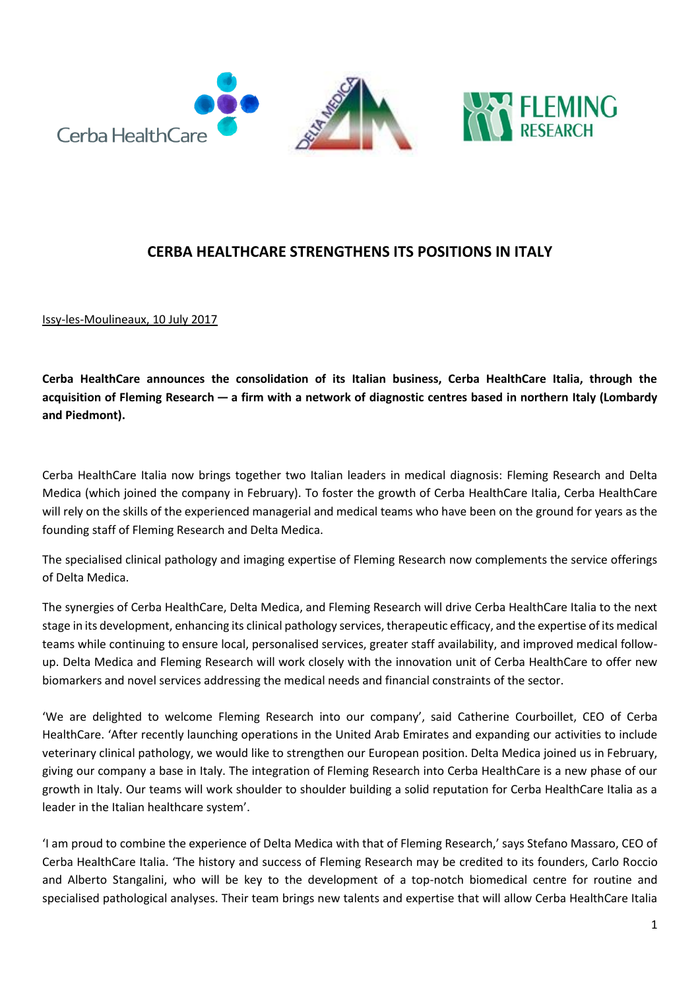

# **CERBA HEALTHCARE STRENGTHENS ITS POSITIONS IN ITALY**

Issy-les-Moulineaux, 10 July 2017

**Cerba HealthCare announces the consolidation of its Italian business, Cerba HealthCare Italia, through the acquisition of Fleming Research — a firm with a network of diagnostic centres based in northern Italy (Lombardy and Piedmont).**

Cerba HealthCare Italia now brings together two Italian leaders in medical diagnosis: Fleming Research and Delta Medica (which joined the company in February). To foster the growth of Cerba HealthCare Italia, Cerba HealthCare will rely on the skills of the experienced managerial and medical teams who have been on the ground for years as the founding staff of Fleming Research and Delta Medica.

The specialised clinical pathology and imaging expertise of Fleming Research now complements the service offerings of Delta Medica.

The synergies of Cerba HealthCare, Delta Medica, and Fleming Research will drive Cerba HealthCare Italia to the next stage in its development, enhancing its clinical pathology services, therapeutic efficacy, and the expertise of its medical teams while continuing to ensure local, personalised services, greater staff availability, and improved medical followup. Delta Medica and Fleming Research will work closely with the innovation unit of Cerba HealthCare to offer new biomarkers and novel services addressing the medical needs and financial constraints of the sector.

'We are delighted to welcome Fleming Research into our company', said Catherine Courboillet, CEO of Cerba HealthCare. 'After recently launching operations in the United Arab Emirates and expanding our activities to include veterinary clinical pathology, we would like to strengthen our European position. Delta Medica joined us in February, giving our company a base in Italy. The integration of Fleming Research into Cerba HealthCare is a new phase of our growth in Italy. Our teams will work shoulder to shoulder building a solid reputation for Cerba HealthCare Italia as a leader in the Italian healthcare system'.

'I am proud to combine the experience of Delta Medica with that of Fleming Research,' says Stefano Massaro, CEO of Cerba HealthCare Italia. 'The history and success of Fleming Research may be credited to its founders, Carlo Roccio and Alberto Stangalini, who will be key to the development of a top-notch biomedical centre for routine and specialised pathological analyses. Their team brings new talents and expertise that will allow Cerba HealthCare Italia